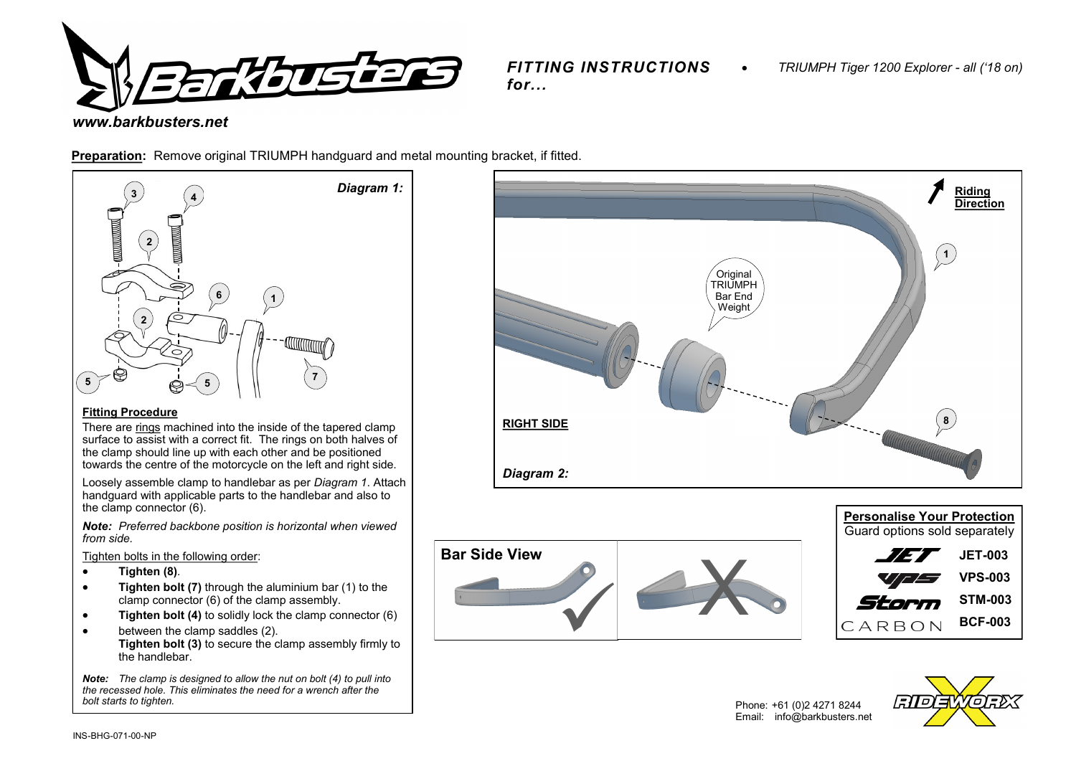

*FITTING INSTRUCTIONS for...*

# *www.barkbusters.net*

**Preparation:** Remove original TRIUMPH handguard and metal mounting bracket, if fitted.



## **Fitting Procedure**

There are rings machined into the inside of the tapered clamp surface to assist with a correct fit. The rings on both halves of the clamp should line up with each other and be positioned towards the centre of the motorcycle on the left and right side.

Loosely assemble clamp to handlebar as per *Diagram 1*. Attach handguard with applicable parts to the handlebar and also to the clamp connector (6).

*Note: Preferred backbone position is horizontal when viewed from side.* 

Tighten bolts in the following order:

- **Tighten (8)***.*
- **Tighten bolt (7)** through the aluminium bar (1) to the clamp connector (6) of the clamp assembly.
- **Tighten bolt (4)** to solidly lock the clamp connector (6)
- between the clamp saddles (2). **Tighten bolt (3)** to secure the clamp assembly firmly to the handlebar.

*Note: The clamp is designed to allow the nut on bolt (4) to pull into the recessed hole. This eliminates the need for a wrench after the bolt starts to tighten.*









Phone: +61 (0)2 4271 8244 Email: info@barkbusters.net